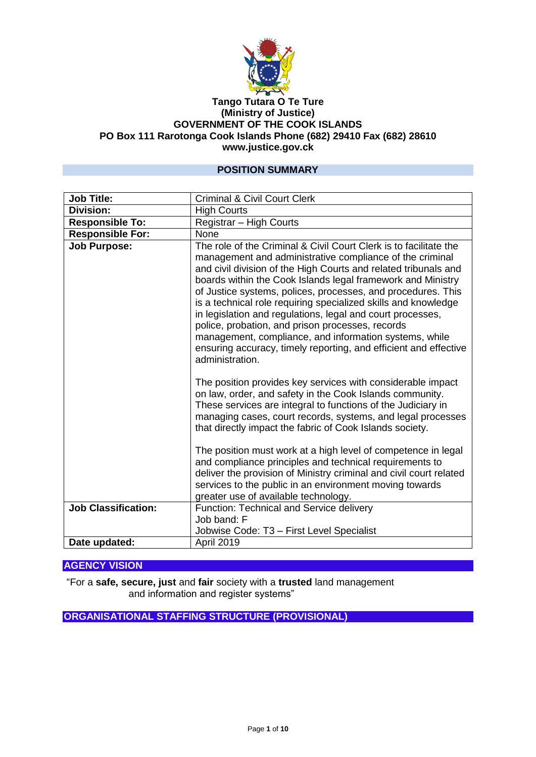

#### **Tango Tutara O Te Ture (Ministry of Justice) GOVERNMENT OF THE COOK ISLANDS PO Box 111 Rarotonga Cook Islands Phone (682) 29410 Fax (682) 28610 www.justice.gov.ck**

### **POSITION SUMMARY**

| <b>Job Title:</b>          | <b>Criminal &amp; Civil Court Clerk</b>                                                                                                                                                                                                                                                                                                                                                                                                                                                                                                                                                                                                                              |  |
|----------------------------|----------------------------------------------------------------------------------------------------------------------------------------------------------------------------------------------------------------------------------------------------------------------------------------------------------------------------------------------------------------------------------------------------------------------------------------------------------------------------------------------------------------------------------------------------------------------------------------------------------------------------------------------------------------------|--|
| <b>Division:</b>           | <b>High Courts</b>                                                                                                                                                                                                                                                                                                                                                                                                                                                                                                                                                                                                                                                   |  |
| <b>Responsible To:</b>     | Registrar - High Courts                                                                                                                                                                                                                                                                                                                                                                                                                                                                                                                                                                                                                                              |  |
| <b>Responsible For:</b>    | None                                                                                                                                                                                                                                                                                                                                                                                                                                                                                                                                                                                                                                                                 |  |
| <b>Job Purpose:</b>        | The role of the Criminal & Civil Court Clerk is to facilitate the<br>management and administrative compliance of the criminal<br>and civil division of the High Courts and related tribunals and<br>boards within the Cook Islands legal framework and Ministry<br>of Justice systems, polices, processes, and procedures. This<br>is a technical role requiring specialized skills and knowledge<br>in legislation and regulations, legal and court processes,<br>police, probation, and prison processes, records<br>management, compliance, and information systems, while<br>ensuring accuracy, timely reporting, and efficient and effective<br>administration. |  |
|                            | The position provides key services with considerable impact<br>on law, order, and safety in the Cook Islands community.<br>These services are integral to functions of the Judiciary in<br>managing cases, court records, systems, and legal processes<br>that directly impact the fabric of Cook Islands society.                                                                                                                                                                                                                                                                                                                                                   |  |
|                            | The position must work at a high level of competence in legal<br>and compliance principles and technical requirements to<br>deliver the provision of Ministry criminal and civil court related<br>services to the public in an environment moving towards<br>greater use of available technology.                                                                                                                                                                                                                                                                                                                                                                    |  |
| <b>Job Classification:</b> | Function: Technical and Service delivery<br>Job band: F                                                                                                                                                                                                                                                                                                                                                                                                                                                                                                                                                                                                              |  |
|                            | Jobwise Code: T3 - First Level Specialist                                                                                                                                                                                                                                                                                                                                                                                                                                                                                                                                                                                                                            |  |
| Date updated:              | April 2019                                                                                                                                                                                                                                                                                                                                                                                                                                                                                                                                                                                                                                                           |  |

#### **AGENCY VISION**

"For a **safe, secure, just** and **fair** society with a **trusted** land management and information and register systems"

**ORGANISATIONAL STAFFING STRUCTURE (PROVISIONAL)**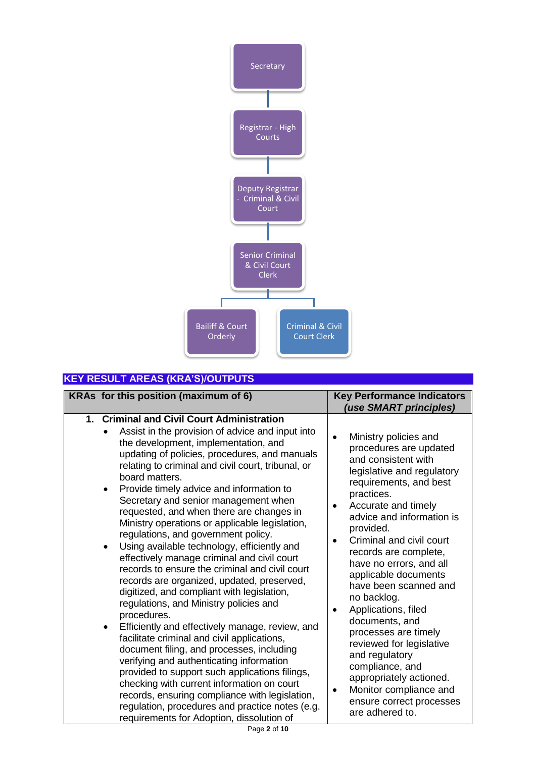

# **KEY RESULT AREAS (KRA'S)/OUTPUTS**

| KRAs for this position (maximum of 6)                                                                                                                                                                                                                                                                                                                                                                                                                                                                                                                                                                                                                                                                                                                                                                                                                                                                                                                                                                                                                                                                                                                                                                                                                                             | <b>Key Performance Indicators</b><br>(use SMART principles)                                                                                                                                                                                                                                                                                                                                                                                                                                                                                                                                                                                             |
|-----------------------------------------------------------------------------------------------------------------------------------------------------------------------------------------------------------------------------------------------------------------------------------------------------------------------------------------------------------------------------------------------------------------------------------------------------------------------------------------------------------------------------------------------------------------------------------------------------------------------------------------------------------------------------------------------------------------------------------------------------------------------------------------------------------------------------------------------------------------------------------------------------------------------------------------------------------------------------------------------------------------------------------------------------------------------------------------------------------------------------------------------------------------------------------------------------------------------------------------------------------------------------------|---------------------------------------------------------------------------------------------------------------------------------------------------------------------------------------------------------------------------------------------------------------------------------------------------------------------------------------------------------------------------------------------------------------------------------------------------------------------------------------------------------------------------------------------------------------------------------------------------------------------------------------------------------|
| 1. Criminal and Civil Court Administration<br>Assist in the provision of advice and input into<br>the development, implementation, and<br>updating of policies, procedures, and manuals<br>relating to criminal and civil court, tribunal, or<br>board matters.<br>Provide timely advice and information to<br>$\bullet$<br>Secretary and senior management when<br>requested, and when there are changes in<br>Ministry operations or applicable legislation,<br>regulations, and government policy.<br>Using available technology, efficiently and<br>$\bullet$<br>effectively manage criminal and civil court<br>records to ensure the criminal and civil court<br>records are organized, updated, preserved,<br>digitized, and compliant with legislation,<br>regulations, and Ministry policies and<br>procedures.<br>Efficiently and effectively manage, review, and<br>$\bullet$<br>facilitate criminal and civil applications,<br>document filing, and processes, including<br>verifying and authenticating information<br>provided to support such applications filings,<br>checking with current information on court<br>records, ensuring compliance with legislation,<br>regulation, procedures and practice notes (e.g.<br>requirements for Adoption, dissolution of | Ministry policies and<br>$\bullet$<br>procedures are updated<br>and consistent with<br>legislative and regulatory<br>requirements, and best<br>practices.<br>Accurate and timely<br>$\bullet$<br>advice and information is<br>provided.<br>Criminal and civil court<br>records are complete,<br>have no errors, and all<br>applicable documents<br>have been scanned and<br>no backlog.<br>Applications, filed<br>$\bullet$<br>documents, and<br>processes are timely<br>reviewed for legislative<br>and regulatory<br>compliance, and<br>appropriately actioned.<br>Monitor compliance and<br>$\bullet$<br>ensure correct processes<br>are adhered to. |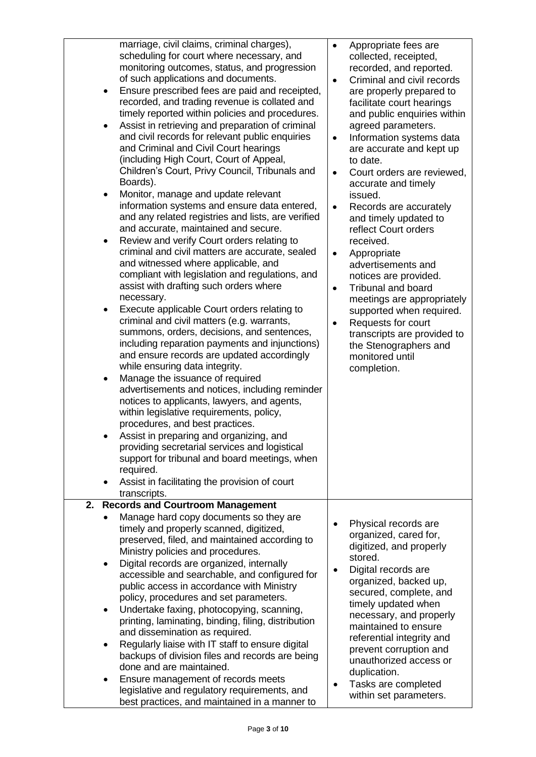| $\bullet$<br>$\bullet$<br>$\bullet$<br>$\bullet$<br>$\bullet$<br>$\bullet$<br>$\bullet$ | marriage, civil claims, criminal charges),<br>scheduling for court where necessary, and<br>monitoring outcomes, status, and progression<br>of such applications and documents.<br>Ensure prescribed fees are paid and receipted,<br>recorded, and trading revenue is collated and<br>timely reported within policies and procedures.<br>Assist in retrieving and preparation of criminal<br>and civil records for relevant public enquiries<br>and Criminal and Civil Court hearings<br>(including High Court, Court of Appeal,<br>Children's Court, Privy Council, Tribunals and<br>Boards).<br>Monitor, manage and update relevant<br>information systems and ensure data entered,<br>and any related registries and lists, are verified<br>and accurate, maintained and secure.<br>Review and verify Court orders relating to<br>criminal and civil matters are accurate, sealed<br>and witnessed where applicable, and<br>compliant with legislation and regulations, and<br>assist with drafting such orders where<br>necessary.<br>Execute applicable Court orders relating to<br>criminal and civil matters (e.g. warrants,<br>summons, orders, decisions, and sentences,<br>including reparation payments and injunctions)<br>and ensure records are updated accordingly<br>while ensuring data integrity.<br>Manage the issuance of required<br>advertisements and notices, including reminder<br>notices to applicants, lawyers, and agents,<br>within legislative requirements, policy,<br>procedures, and best practices.<br>Assist in preparing and organizing, and<br>providing secretarial services and logistical<br>support for tribunal and board meetings, when<br>required.<br>Assist in facilitating the provision of court<br>transcripts. | $\bullet$<br>$\bullet$<br>$\bullet$<br>$\bullet$<br>$\bullet$ | Appropriate fees are<br>collected, receipted,<br>recorded, and reported.<br>Criminal and civil records<br>are properly prepared to<br>facilitate court hearings<br>and public enquiries within<br>agreed parameters.<br>Information systems data<br>are accurate and kept up<br>to date.<br>Court orders are reviewed,<br>accurate and timely<br>issued.<br>Records are accurately<br>and timely updated to<br>reflect Court orders<br>received.<br>Appropriate<br>advertisements and<br>notices are provided.<br><b>Tribunal and board</b><br>meetings are appropriately<br>supported when required.<br>Requests for court<br>transcripts are provided to<br>the Stenographers and<br>monitored until<br>completion. |
|-----------------------------------------------------------------------------------------|------------------------------------------------------------------------------------------------------------------------------------------------------------------------------------------------------------------------------------------------------------------------------------------------------------------------------------------------------------------------------------------------------------------------------------------------------------------------------------------------------------------------------------------------------------------------------------------------------------------------------------------------------------------------------------------------------------------------------------------------------------------------------------------------------------------------------------------------------------------------------------------------------------------------------------------------------------------------------------------------------------------------------------------------------------------------------------------------------------------------------------------------------------------------------------------------------------------------------------------------------------------------------------------------------------------------------------------------------------------------------------------------------------------------------------------------------------------------------------------------------------------------------------------------------------------------------------------------------------------------------------------------------------------------------------------------------------------------------------------------------------------|---------------------------------------------------------------|-----------------------------------------------------------------------------------------------------------------------------------------------------------------------------------------------------------------------------------------------------------------------------------------------------------------------------------------------------------------------------------------------------------------------------------------------------------------------------------------------------------------------------------------------------------------------------------------------------------------------------------------------------------------------------------------------------------------------|
| 2.                                                                                      |                                                                                                                                                                                                                                                                                                                                                                                                                                                                                                                                                                                                                                                                                                                                                                                                                                                                                                                                                                                                                                                                                                                                                                                                                                                                                                                                                                                                                                                                                                                                                                                                                                                                                                                                                                  |                                                               |                                                                                                                                                                                                                                                                                                                                                                                                                                                                                                                                                                                                                                                                                                                       |
| $\bullet$<br>$\bullet$<br>$\bullet$                                                     | <b>Records and Courtroom Management</b><br>Manage hard copy documents so they are<br>timely and properly scanned, digitized,<br>preserved, filed, and maintained according to<br>Ministry policies and procedures.<br>Digital records are organized, internally<br>accessible and searchable, and configured for<br>public access in accordance with Ministry<br>policy, procedures and set parameters.<br>Undertake faxing, photocopying, scanning,<br>printing, laminating, binding, filing, distribution<br>and dissemination as required.<br>Regularly liaise with IT staff to ensure digital<br>backups of division files and records are being<br>done and are maintained.<br>Ensure management of records meets<br>legislative and regulatory requirements, and<br>best practices, and maintained in a manner to                                                                                                                                                                                                                                                                                                                                                                                                                                                                                                                                                                                                                                                                                                                                                                                                                                                                                                                                          |                                                               | Physical records are<br>organized, cared for,<br>digitized, and properly<br>stored.<br>Digital records are<br>organized, backed up,<br>secured, complete, and<br>timely updated when<br>necessary, and properly<br>maintained to ensure<br>referential integrity and<br>prevent corruption and<br>unauthorized access or<br>duplication.<br>Tasks are completed<br>within set parameters.                                                                                                                                                                                                                                                                                                                             |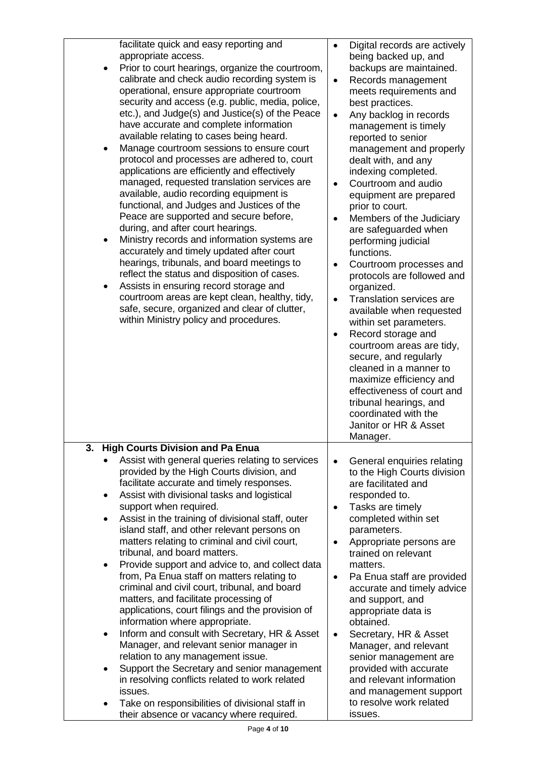| facilitate quick and easy reporting and<br>appropriate access.<br>Prior to court hearings, organize the courtroom,<br>calibrate and check audio recording system is<br>operational, ensure appropriate courtroom<br>security and access (e.g. public, media, police,<br>etc.), and Judge(s) and Justice(s) of the Peace<br>have accurate and complete information<br>available relating to cases being heard.<br>Manage courtroom sessions to ensure court<br>$\bullet$<br>protocol and processes are adhered to, court<br>applications are efficiently and effectively                                                                                                                                                                                                                                                                                                                                                                                                                                                                                                                                  | Digital records are actively<br>$\bullet$<br>being backed up, and<br>backups are maintained.<br>Records management<br>$\bullet$<br>meets requirements and<br>best practices.<br>Any backlog in records<br>$\bullet$<br>management is timely<br>reported to senior<br>management and properly<br>dealt with, and any<br>indexing completed.                                                                                                                                                                                                                                                                       |
|----------------------------------------------------------------------------------------------------------------------------------------------------------------------------------------------------------------------------------------------------------------------------------------------------------------------------------------------------------------------------------------------------------------------------------------------------------------------------------------------------------------------------------------------------------------------------------------------------------------------------------------------------------------------------------------------------------------------------------------------------------------------------------------------------------------------------------------------------------------------------------------------------------------------------------------------------------------------------------------------------------------------------------------------------------------------------------------------------------|------------------------------------------------------------------------------------------------------------------------------------------------------------------------------------------------------------------------------------------------------------------------------------------------------------------------------------------------------------------------------------------------------------------------------------------------------------------------------------------------------------------------------------------------------------------------------------------------------------------|
| managed, requested translation services are<br>available, audio recording equipment is<br>functional, and Judges and Justices of the<br>Peace are supported and secure before,<br>during, and after court hearings.<br>Ministry records and information systems are<br>$\bullet$<br>accurately and timely updated after court<br>hearings, tribunals, and board meetings to<br>reflect the status and disposition of cases.<br>Assists in ensuring record storage and<br>٠<br>courtroom areas are kept clean, healthy, tidy,<br>safe, secure, organized and clear of clutter,                                                                                                                                                                                                                                                                                                                                                                                                                                                                                                                            | Courtroom and audio<br>$\bullet$<br>equipment are prepared<br>prior to court.<br>Members of the Judiciary<br>$\bullet$<br>are safeguarded when<br>performing judicial<br>functions.<br>Courtroom processes and<br>$\bullet$<br>protocols are followed and<br>organized.<br>Translation services are<br>$\bullet$<br>available when requested                                                                                                                                                                                                                                                                     |
| within Ministry policy and procedures.                                                                                                                                                                                                                                                                                                                                                                                                                                                                                                                                                                                                                                                                                                                                                                                                                                                                                                                                                                                                                                                                   | within set parameters.<br>Record storage and<br>$\bullet$<br>courtroom areas are tidy,<br>secure, and regularly<br>cleaned in a manner to<br>maximize efficiency and<br>effectiveness of court and<br>tribunal hearings, and<br>coordinated with the<br>Janitor or HR & Asset<br>Manager.                                                                                                                                                                                                                                                                                                                        |
| <b>High Courts Division and Pa Enua</b><br>3.<br>Assist with general queries relating to services<br>provided by the High Courts division, and<br>facilitate accurate and timely responses.<br>Assist with divisional tasks and logistical<br>٠<br>support when required.<br>Assist in the training of divisional staff, outer<br>island staff, and other relevant persons on<br>matters relating to criminal and civil court,<br>tribunal, and board matters.<br>Provide support and advice to, and collect data<br>from, Pa Enua staff on matters relating to<br>criminal and civil court, tribunal, and board<br>matters, and facilitate processing of<br>applications, court filings and the provision of<br>information where appropriate.<br>Inform and consult with Secretary, HR & Asset<br>$\bullet$<br>Manager, and relevant senior manager in<br>relation to any management issue.<br>Support the Secretary and senior management<br>in resolving conflicts related to work related<br>issues.<br>Take on responsibilities of divisional staff in<br>their absence or vacancy where required. | General enquiries relating<br>$\bullet$<br>to the High Courts division<br>are facilitated and<br>responded to.<br>Tasks are timely<br>$\bullet$<br>completed within set<br>parameters.<br>Appropriate persons are<br>$\bullet$<br>trained on relevant<br>matters.<br>Pa Enua staff are provided<br>$\bullet$<br>accurate and timely advice<br>and support, and<br>appropriate data is<br>obtained.<br>Secretary, HR & Asset<br>$\bullet$<br>Manager, and relevant<br>senior management are<br>provided with accurate<br>and relevant information<br>and management support<br>to resolve work related<br>issues. |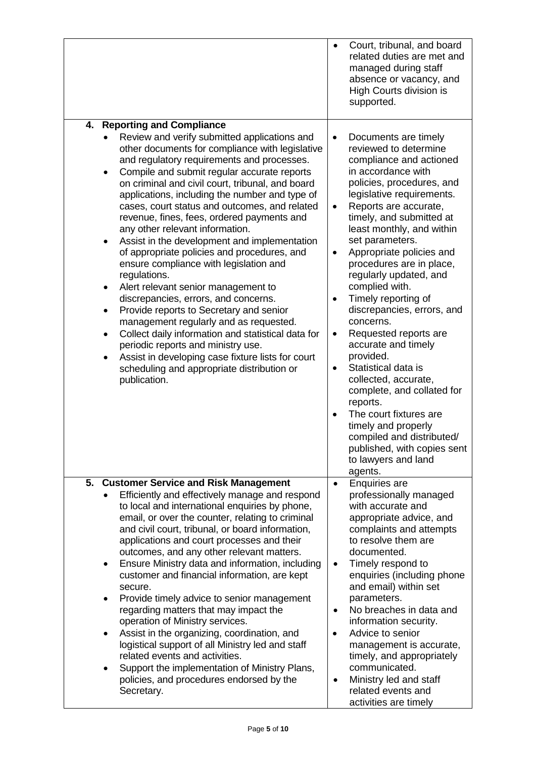|                                                                                                                                                                                                                                                                                                                                                                                                                                                                                                                                                                                                                                                                                                                                                                                                                                                                                                                                                                                                                                                                                                 | Court, tribunal, and board<br>$\bullet$<br>related duties are met and<br>managed during staff<br>absence or vacancy, and<br>High Courts division is<br>supported.                                                                                                                                                                                                                                                                                                                                                                                                                                                                                                                                                                                                                                                                   |
|-------------------------------------------------------------------------------------------------------------------------------------------------------------------------------------------------------------------------------------------------------------------------------------------------------------------------------------------------------------------------------------------------------------------------------------------------------------------------------------------------------------------------------------------------------------------------------------------------------------------------------------------------------------------------------------------------------------------------------------------------------------------------------------------------------------------------------------------------------------------------------------------------------------------------------------------------------------------------------------------------------------------------------------------------------------------------------------------------|-------------------------------------------------------------------------------------------------------------------------------------------------------------------------------------------------------------------------------------------------------------------------------------------------------------------------------------------------------------------------------------------------------------------------------------------------------------------------------------------------------------------------------------------------------------------------------------------------------------------------------------------------------------------------------------------------------------------------------------------------------------------------------------------------------------------------------------|
| <b>Reporting and Compliance</b><br>4.<br>Review and verify submitted applications and<br>other documents for compliance with legislative<br>and regulatory requirements and processes.<br>Compile and submit regular accurate reports<br>٠<br>on criminal and civil court, tribunal, and board<br>applications, including the number and type of<br>cases, court status and outcomes, and related<br>revenue, fines, fees, ordered payments and<br>any other relevant information.<br>Assist in the development and implementation<br>$\bullet$<br>of appropriate policies and procedures, and<br>ensure compliance with legislation and<br>regulations.<br>Alert relevant senior management to<br>$\bullet$<br>discrepancies, errors, and concerns.<br>Provide reports to Secretary and senior<br>$\bullet$<br>management regularly and as requested.<br>Collect daily information and statistical data for<br>$\bullet$<br>periodic reports and ministry use.<br>Assist in developing case fixture lists for court<br>$\bullet$<br>scheduling and appropriate distribution or<br>publication. | Documents are timely<br>$\bullet$<br>reviewed to determine<br>compliance and actioned<br>in accordance with<br>policies, procedures, and<br>legislative requirements.<br>Reports are accurate,<br>$\bullet$<br>timely, and submitted at<br>least monthly, and within<br>set parameters.<br>Appropriate policies and<br>$\bullet$<br>procedures are in place,<br>regularly updated, and<br>complied with.<br>Timely reporting of<br>$\bullet$<br>discrepancies, errors, and<br>concerns.<br>Requested reports are<br>$\bullet$<br>accurate and timely<br>provided.<br>Statistical data is<br>$\bullet$<br>collected, accurate,<br>complete, and collated for<br>reports.<br>The court fixtures are<br>$\bullet$<br>timely and properly<br>compiled and distributed/<br>published, with copies sent<br>to lawyers and land<br>agents. |
| 5.<br><b>Customer Service and Risk Management</b><br>Efficiently and effectively manage and respond<br>to local and international enquiries by phone,<br>email, or over the counter, relating to criminal<br>and civil court, tribunal, or board information,<br>applications and court processes and their<br>outcomes, and any other relevant matters.<br>Ensure Ministry data and information, including<br>٠<br>customer and financial information, are kept<br>secure.<br>Provide timely advice to senior management<br>٠<br>regarding matters that may impact the<br>operation of Ministry services.<br>Assist in the organizing, coordination, and<br>٠<br>logistical support of all Ministry led and staff<br>related events and activities.<br>Support the implementation of Ministry Plans,<br>policies, and procedures endorsed by the<br>Secretary.                                                                                                                                                                                                                                 | <b>Enquiries are</b><br>$\bullet$<br>professionally managed<br>with accurate and<br>appropriate advice, and<br>complaints and attempts<br>to resolve them are<br>documented.<br>Timely respond to<br>$\bullet$<br>enquiries (including phone<br>and email) within set<br>parameters.<br>No breaches in data and<br>$\bullet$<br>information security.<br>Advice to senior<br>$\bullet$<br>management is accurate,<br>timely, and appropriately<br>communicated.<br>Ministry led and staff<br>$\bullet$<br>related events and<br>activities are timely                                                                                                                                                                                                                                                                               |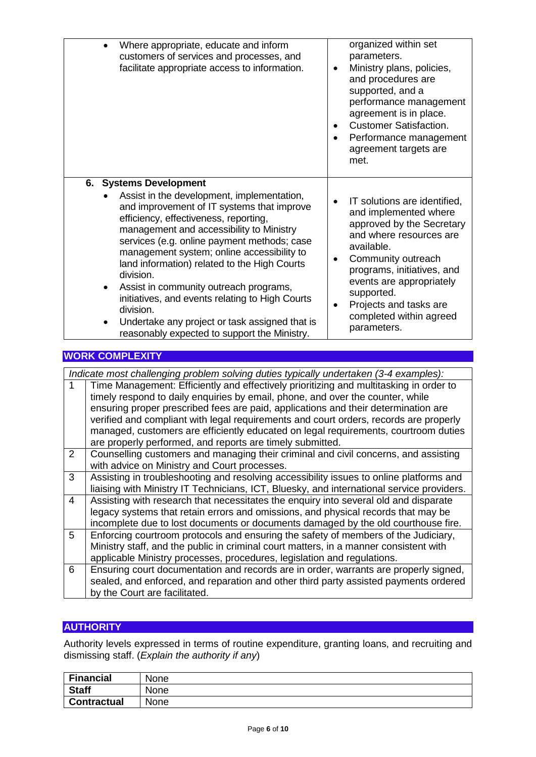| Where appropriate, educate and inform<br>customers of services and processes, and<br>facilitate appropriate access to information.                                                                                                                                                                                                                                                                                                                                                                                                                                                              | organized within set<br>parameters.<br>Ministry plans, policies,<br>٠<br>and procedures are<br>supported, and a<br>performance management<br>agreement is in place.<br><b>Customer Satisfaction.</b><br>٠<br>Performance management<br>٠<br>agreement targets are<br>met.                               |
|-------------------------------------------------------------------------------------------------------------------------------------------------------------------------------------------------------------------------------------------------------------------------------------------------------------------------------------------------------------------------------------------------------------------------------------------------------------------------------------------------------------------------------------------------------------------------------------------------|---------------------------------------------------------------------------------------------------------------------------------------------------------------------------------------------------------------------------------------------------------------------------------------------------------|
| 6. Systems Development<br>Assist in the development, implementation,<br>and improvement of IT systems that improve<br>efficiency, effectiveness, reporting,<br>management and accessibility to Ministry<br>services (e.g. online payment methods; case<br>management system; online accessibility to<br>land information) related to the High Courts<br>division.<br>Assist in community outreach programs,<br>$\bullet$<br>initiatives, and events relating to High Courts<br>division.<br>Undertake any project or task assigned that is<br>٠<br>reasonably expected to support the Ministry. | IT solutions are identified,<br>and implemented where<br>approved by the Secretary<br>and where resources are<br>available.<br>Community outreach<br>٠<br>programs, initiatives, and<br>events are appropriately<br>supported.<br>Projects and tasks are<br>٠<br>completed within agreed<br>parameters. |

### **WORK COMPLEXITY**

*Indicate most challenging problem solving duties typically undertaken (3-4 examples):*

|   | Time Management: Efficiently and effectively prioritizing and multitasking in order to    |
|---|-------------------------------------------------------------------------------------------|
|   | timely respond to daily enquiries by email, phone, and over the counter, while            |
|   | ensuring proper prescribed fees are paid, applications and their determination are        |
|   | verified and compliant with legal requirements and court orders, records are properly     |
|   | managed, customers are efficiently educated on legal requirements, courtroom duties       |
|   | are properly performed, and reports are timely submitted.                                 |
| 2 | Counselling customers and managing their criminal and civil concerns, and assisting       |
|   | with advice on Ministry and Court processes.                                              |
| 3 | Assisting in troubleshooting and resolving accessibility issues to online platforms and   |
|   | liaising with Ministry IT Technicians, ICT, Bluesky, and international service providers. |
| 4 | Assisting with research that necessitates the enquiry into several old and disparate      |
|   | legacy systems that retain errors and omissions, and physical records that may be         |
|   | incomplete due to lost documents or documents damaged by the old courthouse fire.         |
| 5 | Enforcing courtroom protocols and ensuring the safety of members of the Judiciary,        |
|   | Ministry staff, and the public in criminal court matters, in a manner consistent with     |
|   | applicable Ministry processes, procedures, legislation and regulations.                   |
| 6 | Ensuring court documentation and records are in order, warrants are properly signed,      |
|   | sealed, and enforced, and reparation and other third party assisted payments ordered      |
|   | by the Court are facilitated.                                                             |

# **AUTHORITY**

Authority levels expressed in terms of routine expenditure, granting loans, and recruiting and dismissing staff. (*Explain the authority if any*)

| <b>Financial</b>   | None |
|--------------------|------|
| <b>Staff</b>       | None |
| <b>Contractual</b> | None |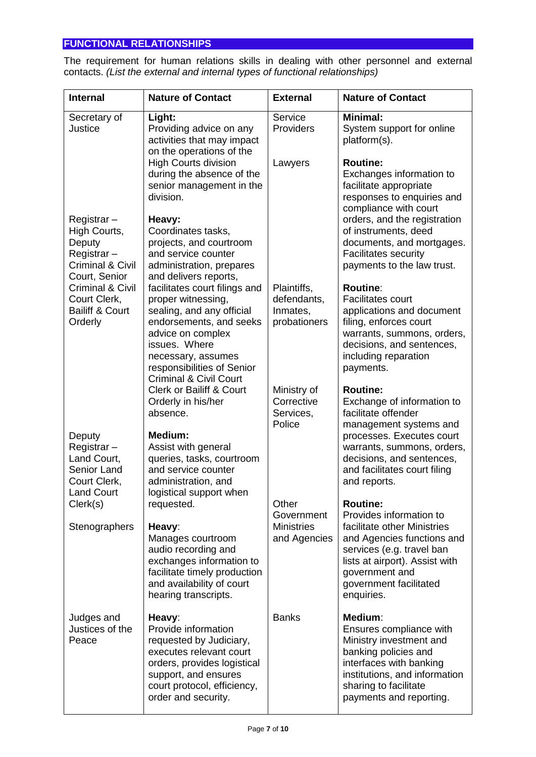# **FUNCTIONAL RELATIONSHIPS**

The requirement for human relations skills in dealing with other personnel and external contacts. *(List the external and internal types of functional relationships)*

| <b>Internal</b>                                                                         | <b>Nature of Contact</b>                                                                                                                                                                                                                   | <b>External</b>                                        | <b>Nature of Contact</b>                                                                                                                                                                              |
|-----------------------------------------------------------------------------------------|--------------------------------------------------------------------------------------------------------------------------------------------------------------------------------------------------------------------------------------------|--------------------------------------------------------|-------------------------------------------------------------------------------------------------------------------------------------------------------------------------------------------------------|
| Secretary of<br>Justice                                                                 | Light:<br>Providing advice on any<br>activities that may impact<br>on the operations of the                                                                                                                                                | Service<br>Providers                                   | <b>Minimal:</b><br>System support for online<br>platform(s).                                                                                                                                          |
| Registrar-                                                                              | <b>High Courts division</b><br>during the absence of the<br>senior management in the<br>division.<br>Heavy:                                                                                                                                | Lawyers                                                | <b>Routine:</b><br>Exchanges information to<br>facilitate appropriate<br>responses to enquiries and<br>compliance with court<br>orders, and the registration                                          |
| High Courts,<br>Deputy<br>Registrar-<br><b>Criminal &amp; Civil</b><br>Court, Senior    | Coordinates tasks,<br>projects, and courtroom<br>and service counter<br>administration, prepares<br>and delivers reports,                                                                                                                  |                                                        | of instruments, deed<br>documents, and mortgages.<br><b>Facilitates security</b><br>payments to the law trust.                                                                                        |
| <b>Criminal &amp; Civil</b><br>Court Clerk,<br><b>Bailiff &amp; Court</b><br>Orderly    | facilitates court filings and<br>proper witnessing,<br>sealing, and any official<br>endorsements, and seeks<br>advice on complex<br>issues. Where<br>necessary, assumes<br>responsibilities of Senior<br><b>Criminal &amp; Civil Court</b> | Plaintiffs,<br>defendants,<br>Inmates,<br>probationers | <b>Routine:</b><br><b>Facilitates court</b><br>applications and document<br>filing, enforces court<br>warrants, summons, orders,<br>decisions, and sentences,<br>including reparation<br>payments.    |
|                                                                                         | <b>Clerk or Bailiff &amp; Court</b><br>Orderly in his/her<br>absence.                                                                                                                                                                      | Ministry of<br>Corrective<br>Services,<br>Police       | <b>Routine:</b><br>Exchange of information to<br>facilitate offender<br>management systems and                                                                                                        |
| Deputy<br>Registrar-<br>Land Court,<br>Senior Land<br>Court Clerk,<br><b>Land Court</b> | <b>Medium:</b><br>Assist with general<br>queries, tasks, courtroom<br>and service counter<br>administration, and<br>logistical support when                                                                                                |                                                        | processes. Executes court<br>warrants, summons, orders,<br>decisions, and sentences,<br>and facilitates court filing<br>and reports.                                                                  |
| Clerk(s)                                                                                | requested.                                                                                                                                                                                                                                 | Other<br>Government                                    | <b>Routine:</b><br>Provides information to                                                                                                                                                            |
| Stenographers                                                                           | Heavy:<br>Manages courtroom<br>audio recording and<br>exchanges information to<br>facilitate timely production<br>and availability of court<br>hearing transcripts.                                                                        | <b>Ministries</b><br>and Agencies                      | facilitate other Ministries<br>and Agencies functions and<br>services (e.g. travel ban<br>lists at airport). Assist with<br>government and<br>government facilitated<br>enquiries.                    |
| Judges and<br>Justices of the<br>Peace                                                  | Heavy:<br>Provide information<br>requested by Judiciary,<br>executes relevant court<br>orders, provides logistical<br>support, and ensures<br>court protocol, efficiency,<br>order and security.                                           | <b>Banks</b>                                           | Medium:<br>Ensures compliance with<br>Ministry investment and<br>banking policies and<br>interfaces with banking<br>institutions, and information<br>sharing to facilitate<br>payments and reporting. |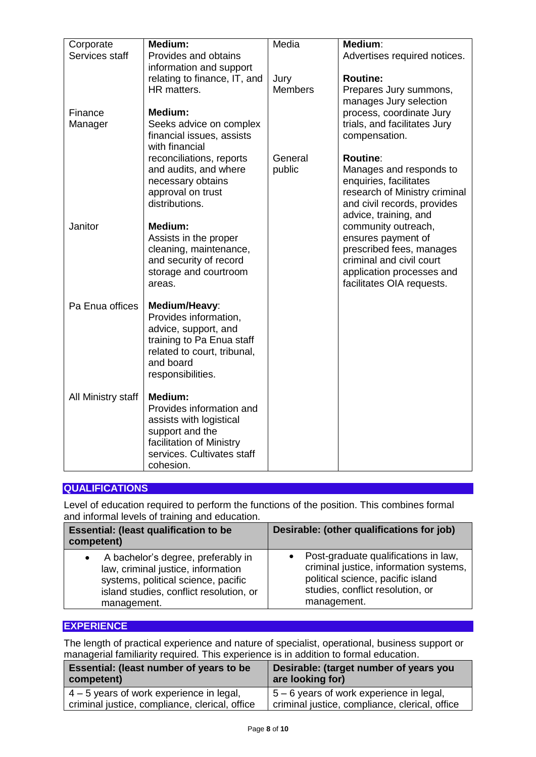| Corporate          | Medium:                                           | Media          | Medium:                                                 |
|--------------------|---------------------------------------------------|----------------|---------------------------------------------------------|
| Services staff     | Provides and obtains                              |                | Advertises required notices.                            |
|                    | information and support                           |                |                                                         |
|                    | relating to finance, IT, and                      | Jury           | <b>Routine:</b>                                         |
|                    | HR matters.                                       | <b>Members</b> | Prepares Jury summons,                                  |
|                    |                                                   |                | manages Jury selection                                  |
| Finance            | Medium:                                           |                | process, coordinate Jury                                |
| Manager            | Seeks advice on complex                           |                | trials, and facilitates Jury                            |
|                    | financial issues, assists                         |                | compensation.                                           |
|                    | with financial                                    |                |                                                         |
|                    | reconciliations, reports                          | General        | <b>Routine:</b>                                         |
|                    | and audits, and where                             | public         | Manages and responds to                                 |
|                    | necessary obtains<br>approval on trust            |                | enquiries, facilitates<br>research of Ministry criminal |
|                    | distributions.                                    |                | and civil records, provides                             |
|                    |                                                   |                | advice, training, and                                   |
| Janitor            | <b>Medium:</b>                                    |                | community outreach,                                     |
|                    | Assists in the proper                             |                | ensures payment of                                      |
|                    | cleaning, maintenance,                            |                | prescribed fees, manages                                |
|                    | and security of record                            |                | criminal and civil court                                |
|                    | storage and courtroom                             |                | application processes and                               |
|                    | areas.                                            |                | facilitates OIA requests.                               |
|                    |                                                   |                |                                                         |
| Pa Enua offices    | Medium/Heavy:                                     |                |                                                         |
|                    | Provides information,                             |                |                                                         |
|                    | advice, support, and<br>training to Pa Enua staff |                |                                                         |
|                    | related to court, tribunal,                       |                |                                                         |
|                    | and board                                         |                |                                                         |
|                    | responsibilities.                                 |                |                                                         |
|                    |                                                   |                |                                                         |
| All Ministry staff | <b>Medium:</b>                                    |                |                                                         |
|                    | Provides information and                          |                |                                                         |
|                    | assists with logistical                           |                |                                                         |
|                    | support and the                                   |                |                                                         |
|                    | facilitation of Ministry                          |                |                                                         |
|                    | services. Cultivates staff                        |                |                                                         |
|                    | cohesion.                                         |                |                                                         |

## **QUALIFICATIONS**

Level of education required to perform the functions of the position. This combines formal and informal levels of training and education.

| <b>Essential: (least qualification to be</b><br>competent)                                                                                                                | Desirable: (other qualifications for job)                                                                                                                                           |
|---------------------------------------------------------------------------------------------------------------------------------------------------------------------------|-------------------------------------------------------------------------------------------------------------------------------------------------------------------------------------|
| A bachelor's degree, preferably in<br>law, criminal justice, information<br>systems, political science, pacific<br>island studies, conflict resolution, or<br>management. | Post-graduate qualifications in law,<br>$\bullet$<br>criminal justice, information systems,<br>political science, pacific island<br>studies, conflict resolution, or<br>management. |

### **EXPERIENCE**

The length of practical experience and nature of specialist, operational, business support or managerial familiarity required. This experience is in addition to formal education.

| Essential: (least number of years to be        | Desirable: (target number of years you         |
|------------------------------------------------|------------------------------------------------|
| competent)                                     | are looking for)                               |
| $4 - 5$ years of work experience in legal,     | $5 - 6$ years of work experience in legal,     |
| criminal justice, compliance, clerical, office | criminal justice, compliance, clerical, office |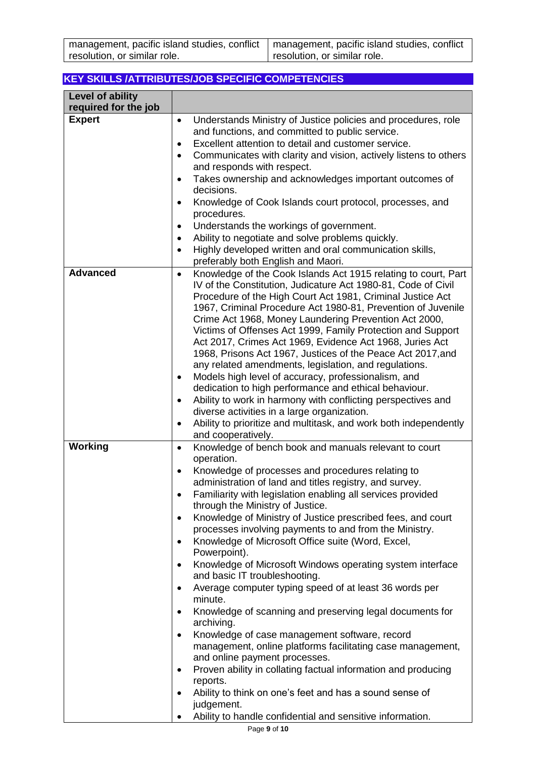### **KEY SKILLS /ATTRIBUTES/JOB SPECIFIC COMPETENCIES**

| Level of ability     |                                                                                                                                                                                                                                                                            |
|----------------------|----------------------------------------------------------------------------------------------------------------------------------------------------------------------------------------------------------------------------------------------------------------------------|
| required for the job |                                                                                                                                                                                                                                                                            |
| <b>Expert</b>        | Understands Ministry of Justice policies and procedures, role<br>$\bullet$<br>and functions, and committed to public service.                                                                                                                                              |
|                      | Excellent attention to detail and customer service.<br>٠                                                                                                                                                                                                                   |
|                      | Communicates with clarity and vision, actively listens to others<br>$\bullet$<br>and responds with respect.                                                                                                                                                                |
|                      | Takes ownership and acknowledges important outcomes of<br>$\bullet$<br>decisions.                                                                                                                                                                                          |
|                      | Knowledge of Cook Islands court protocol, processes, and<br>$\bullet$<br>procedures.                                                                                                                                                                                       |
|                      | Understands the workings of government.<br>٠                                                                                                                                                                                                                               |
|                      | Ability to negotiate and solve problems quickly.<br>$\bullet$                                                                                                                                                                                                              |
|                      | Highly developed written and oral communication skills,<br>$\bullet$                                                                                                                                                                                                       |
|                      | preferably both English and Maori.                                                                                                                                                                                                                                         |
| <b>Advanced</b>      | Knowledge of the Cook Islands Act 1915 relating to court, Part<br>$\bullet$<br>IV of the Constitution, Judicature Act 1980-81, Code of Civil<br>Procedure of the High Court Act 1981, Criminal Justice Act<br>1967, Criminal Procedure Act 1980-81, Prevention of Juvenile |
|                      | Crime Act 1968, Money Laundering Prevention Act 2000,<br>Victims of Offenses Act 1999, Family Protection and Support<br>Act 2017, Crimes Act 1969, Evidence Act 1968, Juries Act<br>1968, Prisons Act 1967, Justices of the Peace Act 2017, and                            |
|                      | any related amendments, legislation, and regulations.                                                                                                                                                                                                                      |
|                      | Models high level of accuracy, professionalism, and<br>٠<br>dedication to high performance and ethical behaviour.                                                                                                                                                          |
|                      | Ability to work in harmony with conflicting perspectives and<br>$\bullet$                                                                                                                                                                                                  |
|                      | diverse activities in a large organization.                                                                                                                                                                                                                                |
|                      | Ability to prioritize and multitask, and work both independently<br>$\bullet$<br>and cooperatively.                                                                                                                                                                        |
| Working              | Knowledge of bench book and manuals relevant to court<br>$\bullet$                                                                                                                                                                                                         |
|                      | operation.                                                                                                                                                                                                                                                                 |
|                      | Knowledge of processes and procedures relating to<br>$\bullet$                                                                                                                                                                                                             |
|                      | administration of land and titles registry, and survey.                                                                                                                                                                                                                    |
|                      | Familiarity with legislation enabling all services provided<br>through the Ministry of Justice.                                                                                                                                                                            |
|                      | Knowledge of Ministry of Justice prescribed fees, and court<br>٠<br>processes involving payments to and from the Ministry.                                                                                                                                                 |
|                      | Knowledge of Microsoft Office suite (Word, Excel,<br>$\bullet$<br>Powerpoint).                                                                                                                                                                                             |
|                      | Knowledge of Microsoft Windows operating system interface<br>٠<br>and basic IT troubleshooting.                                                                                                                                                                            |
|                      | Average computer typing speed of at least 36 words per<br>$\bullet$<br>minute.                                                                                                                                                                                             |
|                      | Knowledge of scanning and preserving legal documents for<br>$\bullet$<br>archiving.                                                                                                                                                                                        |
|                      | Knowledge of case management software, record<br>$\bullet$<br>management, online platforms facilitating case management,<br>and online payment processes.                                                                                                                  |
|                      | Proven ability in collating factual information and producing<br>$\bullet$<br>reports.                                                                                                                                                                                     |
|                      | Ability to think on one's feet and has a sound sense of<br>٠<br>judgement.                                                                                                                                                                                                 |
|                      | Ability to handle confidential and sensitive information.                                                                                                                                                                                                                  |